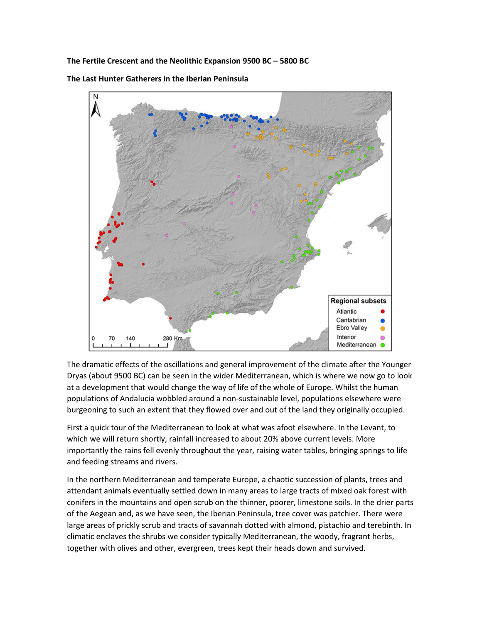**The Fertile Crescent and the Neolithic Expansion 9500 BC – 5800 BC**

**Regional subsets** Atlantic Cantabrian **Ebro Valley** Interior 70 140 280 Km Mediterranean ·

**The Last Hunter Gatherers in the Iberian Peninsula**

The dramatic effects of the oscillations and general improvement of the climate after the Younger Dryas (about 9500 BC) can be seen in the wider Mediterranean, which is where we now go to look at a development that would change the way of life of the whole of Europe. Whilst the human populations of Andalucia wobbled around a non-sustainable level, populations elsewhere were burgeoning to such an extent that they flowed over and out of the land they originally occupied.

First a quick tour of the Mediterranean to look at what was afoot elsewhere. In the Levant, to which we will return shortly, rainfall increased to about 20% above current levels. More importantly the rains fell evenly throughout the year, raising water tables, bringing springs to life and feeding streams and rivers.

In the northern Mediterranean and temperate Europe, a chaotic succession of plants, trees and attendant animals eventually settled down in many areas to large tracts of mixed oak forest with conifers in the mountains and open scrub on the thinner, poorer, limestone soils. In the drier parts of the Aegean and, as we have seen, the Iberian Peninsula, tree cover was patchier. There were large areas of prickly scrub and tracts of savannah dotted with almond, pistachio and terebinth. In climatic enclaves the shrubs we consider typically Mediterranean, the woody, fragrant herbs, together with olives and other, evergreen, trees kept their heads down and survived.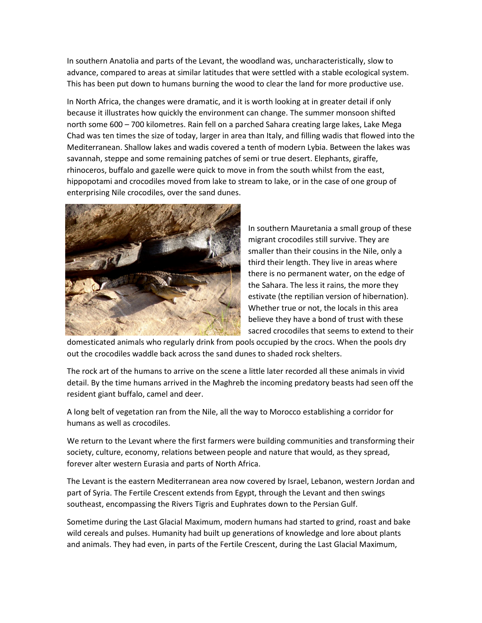In southern Anatolia and parts of the Levant, the woodland was, uncharacteristically, slow to advance, compared to areas at similar latitudes that were settled with a stable ecological system. This has been put down to humans burning the wood to clear the land for more productive use.

In North Africa, the changes were dramatic, and it is worth looking at in greater detail if only because it illustrates how quickly the environment can change. The summer monsoon shifted north some 600 – 700 kilometres. Rain fell on a parched Sahara creating large lakes, Lake Mega Chad was ten times the size of today, larger in area than Italy, and filling wadis that flowed into the Mediterranean. Shallow lakes and wadis covered a tenth of modern Lybia. Between the lakes was savannah, steppe and some remaining patches of semi or true desert. Elephants, giraffe, rhinoceros, buffalo and gazelle were quick to move in from the south whilst from the east, hippopotami and crocodiles moved from lake to stream to lake, or in the case of one group of enterprising Nile crocodiles, over the sand dunes.



In southern Mauretania a small group of these migrant crocodiles still survive. They are smaller than their cousins in the Nile, only a third their length. They live in areas where there is no permanent water, on the edge of the Sahara. The less it rains, the more they estivate (the reptilian version of hibernation). Whether true or not, the locals in this area believe they have a bond of trust with these sacred crocodiles that seems to extend to their

domesticated animals who regularly drink from pools occupied by the crocs. When the pools dry out the crocodiles waddle back across the sand dunes to shaded rock shelters.

The rock art of the humans to arrive on the scene a little later recorded all these animals in vivid detail. By the time humans arrived in the Maghreb the incoming predatory beasts had seen off the resident giant buffalo, camel and deer.

A long belt of vegetation ran from the Nile, all the way to Morocco establishing a corridor for humans as well as crocodiles.

We return to the Levant where the first farmers were building communities and transforming their society, culture, economy, relations between people and nature that would, as they spread, forever alter western Eurasia and parts of North Africa.

The Levant is the eastern Mediterranean area now covered by Israel, Lebanon, western Jordan and part of Syria. The Fertile Crescent extends from Egypt, through the Levant and then swings southeast, encompassing the Rivers Tigris and Euphrates down to the Persian Gulf.

Sometime during the Last Glacial Maximum, modern humans had started to grind, roast and bake wild cereals and pulses. Humanity had built up generations of knowledge and lore about plants and animals. They had even, in parts of the Fertile Crescent, during the Last Glacial Maximum,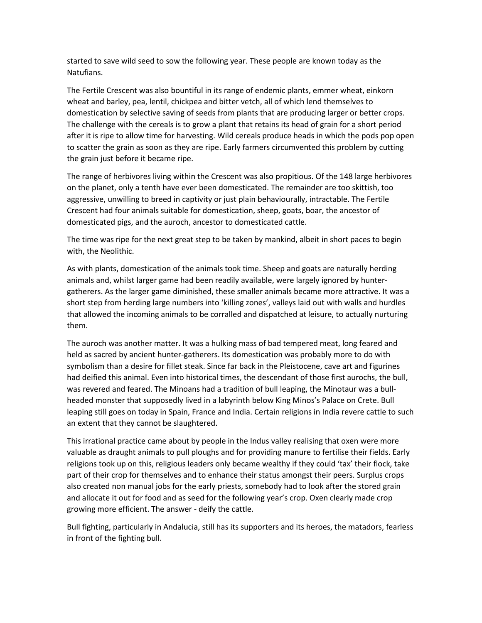started to save wild seed to sow the following year. These people are known today as the Natufians.

The Fertile Crescent was also bountiful in its range of endemic plants, emmer wheat, einkorn wheat and barley, pea, lentil, chickpea and bitter vetch, all of which lend themselves to domestication by selective saving of seeds from plants that are producing larger or better crops. The challenge with the cereals is to grow a plant that retains its head of grain for a short period after it is ripe to allow time for harvesting. Wild cereals produce heads in which the pods pop open to scatter the grain as soon as they are ripe. Early farmers circumvented this problem by cutting the grain just before it became ripe.

The range of herbivores living within the Crescent was also propitious. Of the 148 large herbivores on the planet, only a tenth have ever been domesticated. The remainder are too skittish, too aggressive, unwilling to breed in captivity or just plain behaviourally, intractable. The Fertile Crescent had four animals suitable for domestication, sheep, goats, boar, the ancestor of domesticated pigs, and the auroch, ancestor to domesticated cattle.

The time was ripe for the next great step to be taken by mankind, albeit in short paces to begin with, the Neolithic.

As with plants, domestication of the animals took time. Sheep and goats are naturally herding animals and, whilst larger game had been readily available, were largely ignored by huntergatherers. As the larger game diminished, these smaller animals became more attractive. It was a short step from herding large numbers into 'killing zones', valleys laid out with walls and hurdles that allowed the incoming animals to be corralled and dispatched at leisure, to actually nurturing them.

The auroch was another matter. It was a hulking mass of bad tempered meat, long feared and held as sacred by ancient hunter-gatherers. Its domestication was probably more to do with symbolism than a desire for fillet steak. Since far back in the Pleistocene, cave art and figurines had deified this animal. Even into historical times, the descendant of those first aurochs, the bull, was revered and feared. The Minoans had a tradition of bull leaping, the Minotaur was a bullheaded monster that supposedly lived in a labyrinth below King Minos's Palace on Crete. Bull leaping still goes on today in Spain, France and India. Certain religions in India revere cattle to such an extent that they cannot be slaughtered.

This irrational practice came about by people in the Indus valley realising that oxen were more valuable as draught animals to pull ploughs and for providing manure to fertilise their fields. Early religions took up on this, religious leaders only became wealthy if they could 'tax' their flock, take part of their crop for themselves and to enhance their status amongst their peers. Surplus crops also created non manual jobs for the early priests, somebody had to look after the stored grain and allocate it out for food and as seed for the following year's crop. Oxen clearly made crop growing more efficient. The answer - deify the cattle.

Bull fighting, particularly in Andalucia, still has its supporters and its heroes, the matadors, fearless in front of the fighting bull.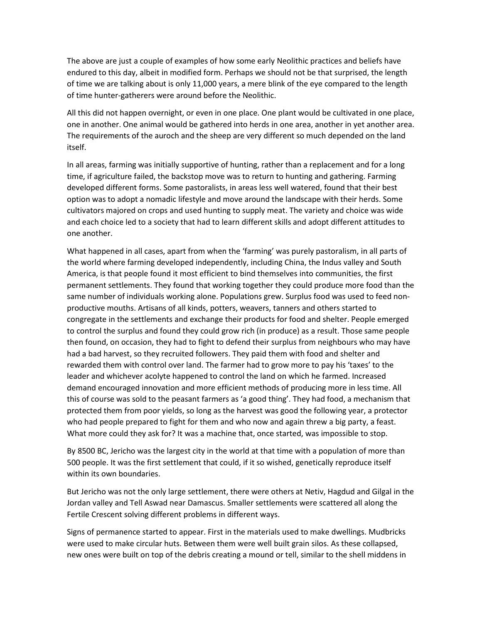The above are just a couple of examples of how some early Neolithic practices and beliefs have endured to this day, albeit in modified form. Perhaps we should not be that surprised, the length of time we are talking about is only 11,000 years, a mere blink of the eye compared to the length of time hunter-gatherers were around before the Neolithic.

All this did not happen overnight, or even in one place. One plant would be cultivated in one place, one in another. One animal would be gathered into herds in one area, another in yet another area. The requirements of the auroch and the sheep are very different so much depended on the land itself.

In all areas, farming was initially supportive of hunting, rather than a replacement and for a long time, if agriculture failed, the backstop move was to return to hunting and gathering. Farming developed different forms. Some pastoralists, in areas less well watered, found that their best option was to adopt a nomadic lifestyle and move around the landscape with their herds. Some cultivators majored on crops and used hunting to supply meat. The variety and choice was wide and each choice led to a society that had to learn different skills and adopt different attitudes to one another.

What happened in all cases, apart from when the 'farming' was purely pastoralism, in all parts of the world where farming developed independently, including China, the Indus valley and South America, is that people found it most efficient to bind themselves into communities, the first permanent settlements. They found that working together they could produce more food than the same number of individuals working alone. Populations grew. Surplus food was used to feed nonproductive mouths. Artisans of all kinds, potters, weavers, tanners and others started to congregate in the settlements and exchange their products for food and shelter. People emerged to control the surplus and found they could grow rich (in produce) as a result. Those same people then found, on occasion, they had to fight to defend their surplus from neighbours who may have had a bad harvest, so they recruited followers. They paid them with food and shelter and rewarded them with control over land. The farmer had to grow more to pay his 'taxes' to the leader and whichever acolyte happened to control the land on which he farmed. Increased demand encouraged innovation and more efficient methods of producing more in less time. All this of course was sold to the peasant farmers as 'a good thing'. They had food, a mechanism that protected them from poor yields, so long as the harvest was good the following year, a protector who had people prepared to fight for them and who now and again threw a big party, a feast. What more could they ask for? It was a machine that, once started, was impossible to stop.

By 8500 BC, Jericho was the largest city in the world at that time with a population of more than 500 people. It was the first settlement that could, if it so wished, genetically reproduce itself within its own boundaries.

But Jericho was not the only large settlement, there were others at Netiv, Hagdud and Gilgal in the Jordan valley and Tell Aswad near Damascus. Smaller settlements were scattered all along the Fertile Crescent solving different problems in different ways.

Signs of permanence started to appear. First in the materials used to make dwellings. Mudbricks were used to make circular huts. Between them were well built grain silos. As these collapsed, new ones were built on top of the debris creating a mound or tell, similar to the shell middens in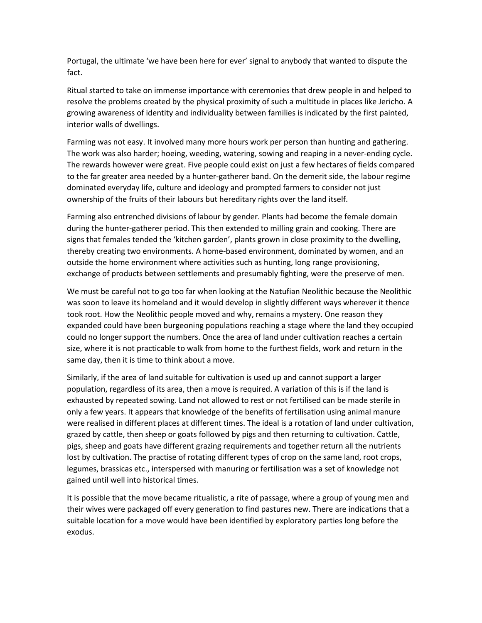Portugal, the ultimate 'we have been here for ever' signal to anybody that wanted to dispute the fact.

Ritual started to take on immense importance with ceremonies that drew people in and helped to resolve the problems created by the physical proximity of such a multitude in places like Jericho. A growing awareness of identity and individuality between families is indicated by the first painted, interior walls of dwellings.

Farming was not easy. It involved many more hours work per person than hunting and gathering. The work was also harder; hoeing, weeding, watering, sowing and reaping in a never-ending cycle. The rewards however were great. Five people could exist on just a few hectares of fields compared to the far greater area needed by a hunter-gatherer band. On the demerit side, the labour regime dominated everyday life, culture and ideology and prompted farmers to consider not just ownership of the fruits of their labours but hereditary rights over the land itself.

Farming also entrenched divisions of labour by gender. Plants had become the female domain during the hunter-gatherer period. This then extended to milling grain and cooking. There are signs that females tended the 'kitchen garden', plants grown in close proximity to the dwelling, thereby creating two environments. A home-based environment, dominated by women, and an outside the home environment where activities such as hunting, long range provisioning, exchange of products between settlements and presumably fighting, were the preserve of men.

We must be careful not to go too far when looking at the Natufian Neolithic because the Neolithic was soon to leave its homeland and it would develop in slightly different ways wherever it thence took root. How the Neolithic people moved and why, remains a mystery. One reason they expanded could have been burgeoning populations reaching a stage where the land they occupied could no longer support the numbers. Once the area of land under cultivation reaches a certain size, where it is not practicable to walk from home to the furthest fields, work and return in the same day, then it is time to think about a move.

Similarly, if the area of land suitable for cultivation is used up and cannot support a larger population, regardless of its area, then a move is required. A variation of this is if the land is exhausted by repeated sowing. Land not allowed to rest or not fertilised can be made sterile in only a few years. It appears that knowledge of the benefits of fertilisation using animal manure were realised in different places at different times. The ideal is a rotation of land under cultivation, grazed by cattle, then sheep or goats followed by pigs and then returning to cultivation. Cattle, pigs, sheep and goats have different grazing requirements and together return all the nutrients lost by cultivation. The practise of rotating different types of crop on the same land, root crops, legumes, brassicas etc., interspersed with manuring or fertilisation was a set of knowledge not gained until well into historical times.

It is possible that the move became ritualistic, a rite of passage, where a group of young men and their wives were packaged off every generation to find pastures new. There are indications that a suitable location for a move would have been identified by exploratory parties long before the exodus.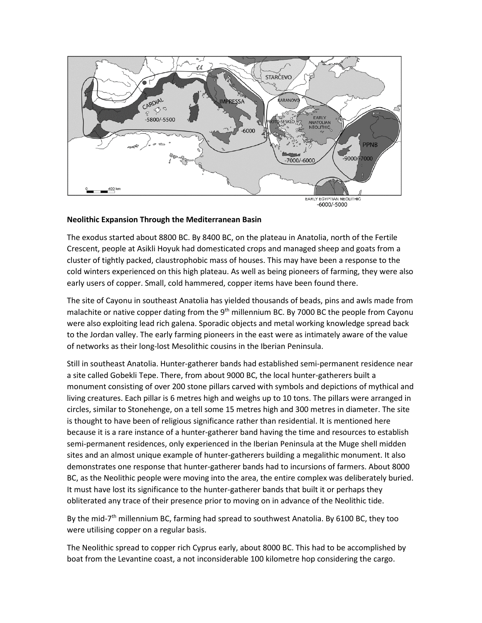

#### **Neolithic Expansion Through the Mediterranean Basin**

The exodus started about 8800 BC. By 8400 BC, on the plateau in Anatolia, north of the Fertile Crescent, people at Asikli Hoyuk had domesticated crops and managed sheep and goats from a cluster of tightly packed, claustrophobic mass of houses. This may have been a response to the cold winters experienced on this high plateau. As well as being pioneers of farming, they were also early users of copper. Small, cold hammered, copper items have been found there.

The site of Cayonu in southeast Anatolia has yielded thousands of beads, pins and awls made from malachite or native copper dating from the 9<sup>th</sup> millennium BC. By 7000 BC the people from Cayonu were also exploiting lead rich galena. Sporadic objects and metal working knowledge spread back to the Jordan valley. The early farming pioneers in the east were as intimately aware of the value of networks as their long-lost Mesolithic cousins in the Iberian Peninsula.

Still in southeast Anatolia. Hunter-gatherer bands had established semi-permanent residence near a site called Gobekli Tepe. There, from about 9000 BC, the local hunter-gatherers built a monument consisting of over 200 stone pillars carved with symbols and depictions of mythical and living creatures. Each pillar is 6 metres high and weighs up to 10 tons. The pillars were arranged in circles, similar to Stonehenge, on a tell some 15 metres high and 300 metres in diameter. The site is thought to have been of religious significance rather than residential. It is mentioned here because it is a rare instance of a hunter-gatherer band having the time and resources to establish semi-permanent residences, only experienced in the Iberian Peninsula at the Muge shell midden sites and an almost unique example of hunter-gatherers building a megalithic monument. It also demonstrates one response that hunter-gatherer bands had to incursions of farmers. About 8000 BC, as the Neolithic people were moving into the area, the entire complex was deliberately buried. It must have lost its significance to the hunter-gatherer bands that built it or perhaps they obliterated any trace of their presence prior to moving on in advance of the Neolithic tide.

By the mid-7<sup>th</sup> millennium BC, farming had spread to southwest Anatolia. By 6100 BC, they too were utilising copper on a regular basis.

The Neolithic spread to copper rich Cyprus early, about 8000 BC. This had to be accomplished by boat from the Levantine coast, a not inconsiderable 100 kilometre hop considering the cargo.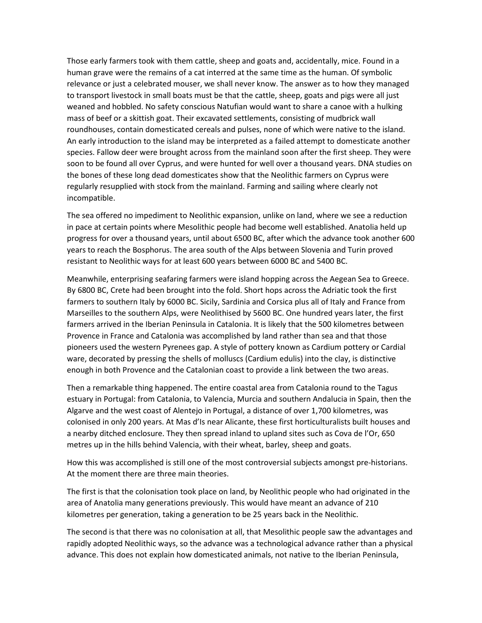Those early farmers took with them cattle, sheep and goats and, accidentally, mice. Found in a human grave were the remains of a cat interred at the same time as the human. Of symbolic relevance or just a celebrated mouser, we shall never know. The answer as to how they managed to transport livestock in small boats must be that the cattle, sheep, goats and pigs were all just weaned and hobbled. No safety conscious Natufian would want to share a canoe with a hulking mass of beef or a skittish goat. Their excavated settlements, consisting of mudbrick wall roundhouses, contain domesticated cereals and pulses, none of which were native to the island. An early introduction to the island may be interpreted as a failed attempt to domesticate another species. Fallow deer were brought across from the mainland soon after the first sheep. They were soon to be found all over Cyprus, and were hunted for well over a thousand years. DNA studies on the bones of these long dead domesticates show that the Neolithic farmers on Cyprus were regularly resupplied with stock from the mainland. Farming and sailing where clearly not incompatible.

The sea offered no impediment to Neolithic expansion, unlike on land, where we see a reduction in pace at certain points where Mesolithic people had become well established. Anatolia held up progress for over a thousand years, until about 6500 BC, after which the advance took another 600 years to reach the Bosphorus. The area south of the Alps between Slovenia and Turin proved resistant to Neolithic ways for at least 600 years between 6000 BC and 5400 BC.

Meanwhile, enterprising seafaring farmers were island hopping across the Aegean Sea to Greece. By 6800 BC, Crete had been brought into the fold. Short hops across the Adriatic took the first farmers to southern Italy by 6000 BC. Sicily, Sardinia and Corsica plus all of Italy and France from Marseilles to the southern Alps, were Neolithised by 5600 BC. One hundred years later, the first farmers arrived in the Iberian Peninsula in Catalonia. It is likely that the 500 kilometres between Provence in France and Catalonia was accomplished by land rather than sea and that those pioneers used the western Pyrenees gap. A style of pottery known as Cardium pottery or Cardial ware, decorated by pressing the shells of molluscs (Cardium edulis) into the clay, is distinctive enough in both Provence and the Catalonian coast to provide a link between the two areas.

Then a remarkable thing happened. The entire coastal area from Catalonia round to the Tagus estuary in Portugal: from Catalonia, to Valencia, Murcia and southern Andalucia in Spain, then the Algarve and the west coast of Alentejo in Portugal, a distance of over 1,700 kilometres, was colonised in only 200 years. At Mas d'Is near Alicante, these first horticulturalists built houses and a nearby ditched enclosure. They then spread inland to upland sites such as Cova de l'Or, 650 metres up in the hills behind Valencia, with their wheat, barley, sheep and goats.

How this was accomplished is still one of the most controversial subjects amongst pre-historians. At the moment there are three main theories.

The first is that the colonisation took place on land, by Neolithic people who had originated in the area of Anatolia many generations previously. This would have meant an advance of 210 kilometres per generation, taking a generation to be 25 years back in the Neolithic.

The second is that there was no colonisation at all, that Mesolithic people saw the advantages and rapidly adopted Neolithic ways, so the advance was a technological advance rather than a physical advance. This does not explain how domesticated animals, not native to the Iberian Peninsula,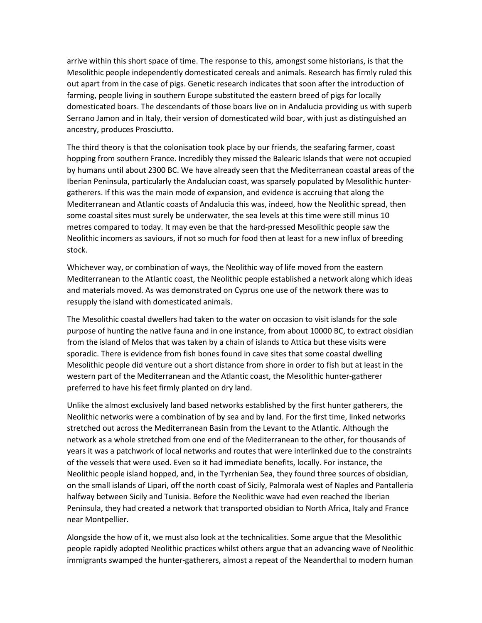arrive within this short space of time. The response to this, amongst some historians, is that the Mesolithic people independently domesticated cereals and animals. Research has firmly ruled this out apart from in the case of pigs. Genetic research indicates that soon after the introduction of farming, people living in southern Europe substituted the eastern breed of pigs for locally domesticated boars. The descendants of those boars live on in Andalucia providing us with superb Serrano Jamon and in Italy, their version of domesticated wild boar, with just as distinguished an ancestry, produces Prosciutto.

The third theory is that the colonisation took place by our friends, the seafaring farmer, coast hopping from southern France. Incredibly they missed the Balearic Islands that were not occupied by humans until about 2300 BC. We have already seen that the Mediterranean coastal areas of the Iberian Peninsula, particularly the Andalucian coast, was sparsely populated by Mesolithic huntergatherers. If this was the main mode of expansion, and evidence is accruing that along the Mediterranean and Atlantic coasts of Andalucia this was, indeed, how the Neolithic spread, then some coastal sites must surely be underwater, the sea levels at this time were still minus 10 metres compared to today. It may even be that the hard-pressed Mesolithic people saw the Neolithic incomers as saviours, if not so much for food then at least for a new influx of breeding stock.

Whichever way, or combination of ways, the Neolithic way of life moved from the eastern Mediterranean to the Atlantic coast, the Neolithic people established a network along which ideas and materials moved. As was demonstrated on Cyprus one use of the network there was to resupply the island with domesticated animals.

The Mesolithic coastal dwellers had taken to the water on occasion to visit islands for the sole purpose of hunting the native fauna and in one instance, from about 10000 BC, to extract obsidian from the island of Melos that was taken by a chain of islands to Attica but these visits were sporadic. There is evidence from fish bones found in cave sites that some coastal dwelling Mesolithic people did venture out a short distance from shore in order to fish but at least in the western part of the Mediterranean and the Atlantic coast, the Mesolithic hunter-gatherer preferred to have his feet firmly planted on dry land.

Unlike the almost exclusively land based networks established by the first hunter gatherers, the Neolithic networks were a combination of by sea and by land. For the first time, linked networks stretched out across the Mediterranean Basin from the Levant to the Atlantic. Although the network as a whole stretched from one end of the Mediterranean to the other, for thousands of years it was a patchwork of local networks and routes that were interlinked due to the constraints of the vessels that were used. Even so it had immediate benefits, locally. For instance, the Neolithic people island hopped, and, in the Tyrrhenian Sea, they found three sources of obsidian, on the small islands of Lipari, off the north coast of Sicily, Palmorala west of Naples and Pantalleria halfway between Sicily and Tunisia. Before the Neolithic wave had even reached the Iberian Peninsula, they had created a network that transported obsidian to North Africa, Italy and France near Montpellier.

Alongside the how of it, we must also look at the technicalities. Some argue that the Mesolithic people rapidly adopted Neolithic practices whilst others argue that an advancing wave of Neolithic immigrants swamped the hunter-gatherers, almost a repeat of the Neanderthal to modern human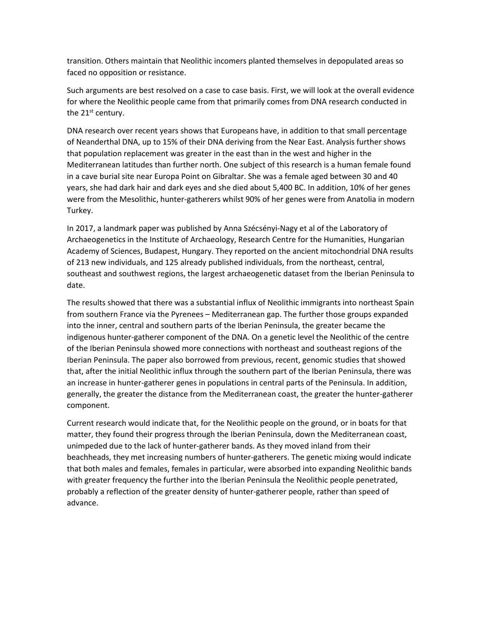transition. Others maintain that Neolithic incomers planted themselves in depopulated areas so faced no opposition or resistance.

Such arguments are best resolved on a case to case basis. First, we will look at the overall evidence for where the Neolithic people came from that primarily comes from DNA research conducted in the 21<sup>st</sup> century.

DNA research over recent years shows that Europeans have, in addition to that small percentage of Neanderthal DNA, up to 15% of their DNA deriving from the Near East. Analysis further shows that population replacement was greater in the east than in the west and higher in the Mediterranean latitudes than further north. One subject of this research is a human female found in a cave burial site near Europa Point on Gibraltar. She was a female aged between 30 and 40 years, she had dark hair and dark eyes and she died about 5,400 BC. In addition, 10% of her genes were from the Mesolithic, hunter-gatherers whilst 90% of her genes were from Anatolia in modern Turkey.

In 2017, a landmark paper was published by Anna Szécsényi-Nagy et al of the Laboratory of Archaeogenetics in the Institute of Archaeology, Research Centre for the Humanities, Hungarian Academy of Sciences, Budapest, Hungary. They reported on the ancient mitochondrial DNA results of 213 new individuals, and 125 already published individuals, from the northeast, central, southeast and southwest regions, the largest archaeogenetic dataset from the Iberian Peninsula to date.

The results showed that there was a substantial influx of Neolithic immigrants into northeast Spain from southern France via the Pyrenees – Mediterranean gap. The further those groups expanded into the inner, central and southern parts of the Iberian Peninsula, the greater became the indigenous hunter-gatherer component of the DNA. On a genetic level the Neolithic of the centre of the Iberian Peninsula showed more connections with northeast and southeast regions of the Iberian Peninsula. The paper also borrowed from previous, recent, genomic studies that showed that, after the initial Neolithic influx through the southern part of the Iberian Peninsula, there was an increase in hunter-gatherer genes in populations in central parts of the Peninsula. In addition, generally, the greater the distance from the Mediterranean coast, the greater the hunter-gatherer component.

Current research would indicate that, for the Neolithic people on the ground, or in boats for that matter, they found their progress through the Iberian Peninsula, down the Mediterranean coast, unimpeded due to the lack of hunter-gatherer bands. As they moved inland from their beachheads, they met increasing numbers of hunter-gatherers. The genetic mixing would indicate that both males and females, females in particular, were absorbed into expanding Neolithic bands with greater frequency the further into the Iberian Peninsula the Neolithic people penetrated, probably a reflection of the greater density of hunter-gatherer people, rather than speed of advance.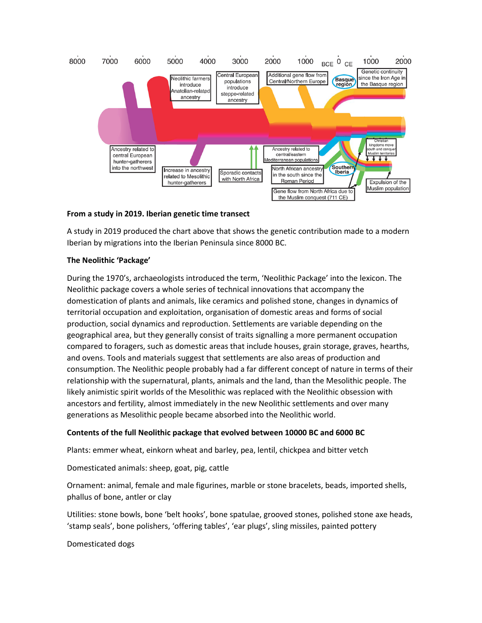

## **From a study in 2019. Iberian genetic time transect**

A study in 2019 produced the chart above that shows the genetic contribution made to a modern Iberian by migrations into the Iberian Peninsula since 8000 BC.

## **The Neolithic 'Package'**

During the 1970's, archaeologists introduced the term, 'Neolithic Package' into the lexicon. The Neolithic package covers a whole series of technical innovations that accompany the domestication of plants and animals, like ceramics and polished stone, changes in dynamics of territorial occupation and exploitation, organisation of domestic areas and forms of social production, social dynamics and reproduction. Settlements are variable depending on the geographical area, but they generally consist of traits signalling a more permanent occupation compared to foragers, such as domestic areas that include houses, grain storage, graves, hearths, and ovens. Tools and materials suggest that settlements are also areas of production and consumption. The Neolithic people probably had a far different concept of nature in terms of their relationship with the supernatural, plants, animals and the land, than the Mesolithic people. The likely animistic spirit worlds of the Mesolithic was replaced with the Neolithic obsession with ancestors and fertility, almost immediately in the new Neolithic settlements and over many generations as Mesolithic people became absorbed into the Neolithic world.

# **Contents of the full Neolithic package that evolved between 10000 BC and 6000 BC**

Plants: emmer wheat, einkorn wheat and barley, pea, lentil, chickpea and bitter vetch

Domesticated animals: sheep, goat, pig, cattle

Ornament: animal, female and male figurines, marble or stone bracelets, beads, imported shells, phallus of bone, antler or clay

Utilities: stone bowls, bone 'belt hooks', bone spatulae, grooved stones, polished stone axe heads, 'stamp seals', bone polishers, 'offering tables', 'ear plugs', sling missiles, painted pottery

Domesticated dogs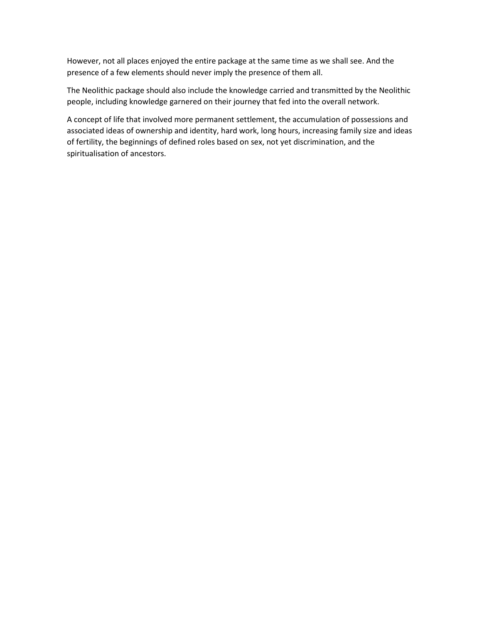However, not all places enjoyed the entire package at the same time as we shall see. And the presence of a few elements should never imply the presence of them all.

The Neolithic package should also include the knowledge carried and transmitted by the Neolithic people, including knowledge garnered on their journey that fed into the overall network.

A concept of life that involved more permanent settlement, the accumulation of possessions and associated ideas of ownership and identity, hard work, long hours, increasing family size and ideas of fertility, the beginnings of defined roles based on sex, not yet discrimination, and the spiritualisation of ancestors.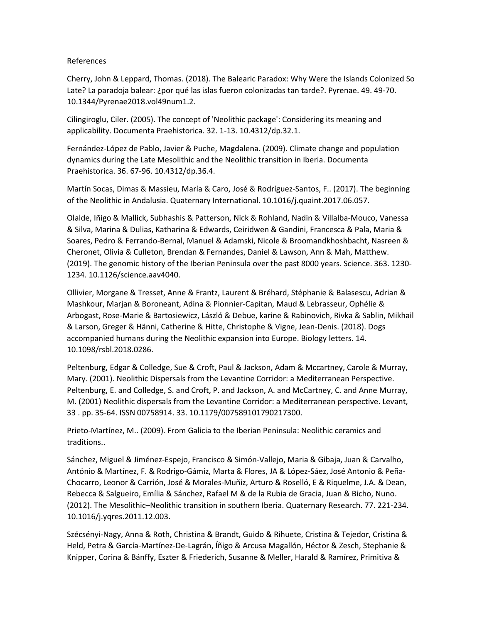## References

Cherry, John & Leppard, Thomas. (2018). The Balearic Paradox: Why Were the Islands Colonized So Late? La paradoja balear: ¿por qué las islas fueron colonizadas tan tarde?. Pyrenae. 49. 49-70. 10.1344/Pyrenae2018.vol49num1.2.

Cilingiroglu, Ciler. (2005). The concept of 'Neolithic package': Considering its meaning and applicability. Documenta Praehistorica. 32. 1-13. 10.4312/dp.32.1.

Fernández-López de Pablo, Javier & Puche, Magdalena. (2009). Climate change and population dynamics during the Late Mesolithic and the Neolithic transition in Iberia. Documenta Praehistorica. 36. 67-96. 10.4312/dp.36.4.

Martín Socas, Dimas & Massieu, María & Caro, José & Rodríguez-Santos, F.. (2017). The beginning of the Neolithic in Andalusia. Quaternary International. 10.1016/j.quaint.2017.06.057.

Olalde, Iñigo & Mallick, Subhashis & Patterson, Nick & Rohland, Nadin & Villalba-Mouco, Vanessa & Silva, Marina & Dulias, Katharina & Edwards, Ceiridwen & Gandini, Francesca & Pala, Maria & Soares, Pedro & Ferrando-Bernal, Manuel & Adamski, Nicole & Broomandkhoshbacht, Nasreen & Cheronet, Olivia & Culleton, Brendan & Fernandes, Daniel & Lawson, Ann & Mah, Matthew. (2019). The genomic history of the Iberian Peninsula over the past 8000 years. Science. 363. 1230- 1234. 10.1126/science.aav4040.

Ollivier, Morgane & Tresset, Anne & Frantz, Laurent & Bréhard, Stéphanie & Balasescu, Adrian & Mashkour, Marjan & Boroneant, Adina & Pionnier-Capitan, Maud & Lebrasseur, Ophélie & Arbogast, Rose-Marie & Bartosiewicz, László & Debue, karine & Rabinovich, Rivka & Sablin, Mikhail & Larson, Greger & Hänni, Catherine & Hitte, Christophe & Vigne, Jean-Denis. (2018). Dogs accompanied humans during the Neolithic expansion into Europe. Biology letters. 14. 10.1098/rsbl.2018.0286.

Peltenburg, Edgar & Colledge, Sue & Croft, Paul & Jackson, Adam & Mccartney, Carole & Murray, Mary. (2001). Neolithic Dispersals from the Levantine Corridor: a Mediterranean Perspective. Peltenburg, E. and Colledge, S. and Croft, P. and Jackson, A. and McCartney, C. and Anne Murray, M. (2001) Neolithic dispersals from the Levantine Corridor: a Mediterranean perspective. Levant, 33 . pp. 35-64. ISSN 00758914. 33. 10.1179/007589101790217300.

Prieto-Martínez, M.. (2009). From Galicia to the Iberian Peninsula: Neolithic ceramics and traditions..

Sánchez, Miguel & Jiménez-Espejo, Francisco & Simón-Vallejo, Maria & Gibaja, Juan & Carvalho, António & Martínez, F. & Rodrigo-Gámiz, Marta & Flores, JA & López-Sáez, José Antonio & Peña-Chocarro, Leonor & Carrión, José & Morales-Muñiz, Arturo & Roselló, E & Riquelme, J.A. & Dean, Rebecca & Salgueiro, Emília & Sánchez, Rafael M & de la Rubia de Gracia, Juan & Bicho, Nuno. (2012). The Mesolithic–Neolithic transition in southern Iberia. Quaternary Research. 77. 221-234. 10.1016/j.yqres.2011.12.003.

Szécsényi-Nagy, Anna & Roth, Christina & Brandt, Guido & Rihuete, Cristina & Tejedor, Cristina & Held, Petra & García-Martínez-De-Lagrán, Íñigo & Arcusa Magallón, Héctor & Zesch, Stephanie & Knipper, Corina & Bánffy, Eszter & Friederich, Susanne & Meller, Harald & Ramírez, Primitiva &